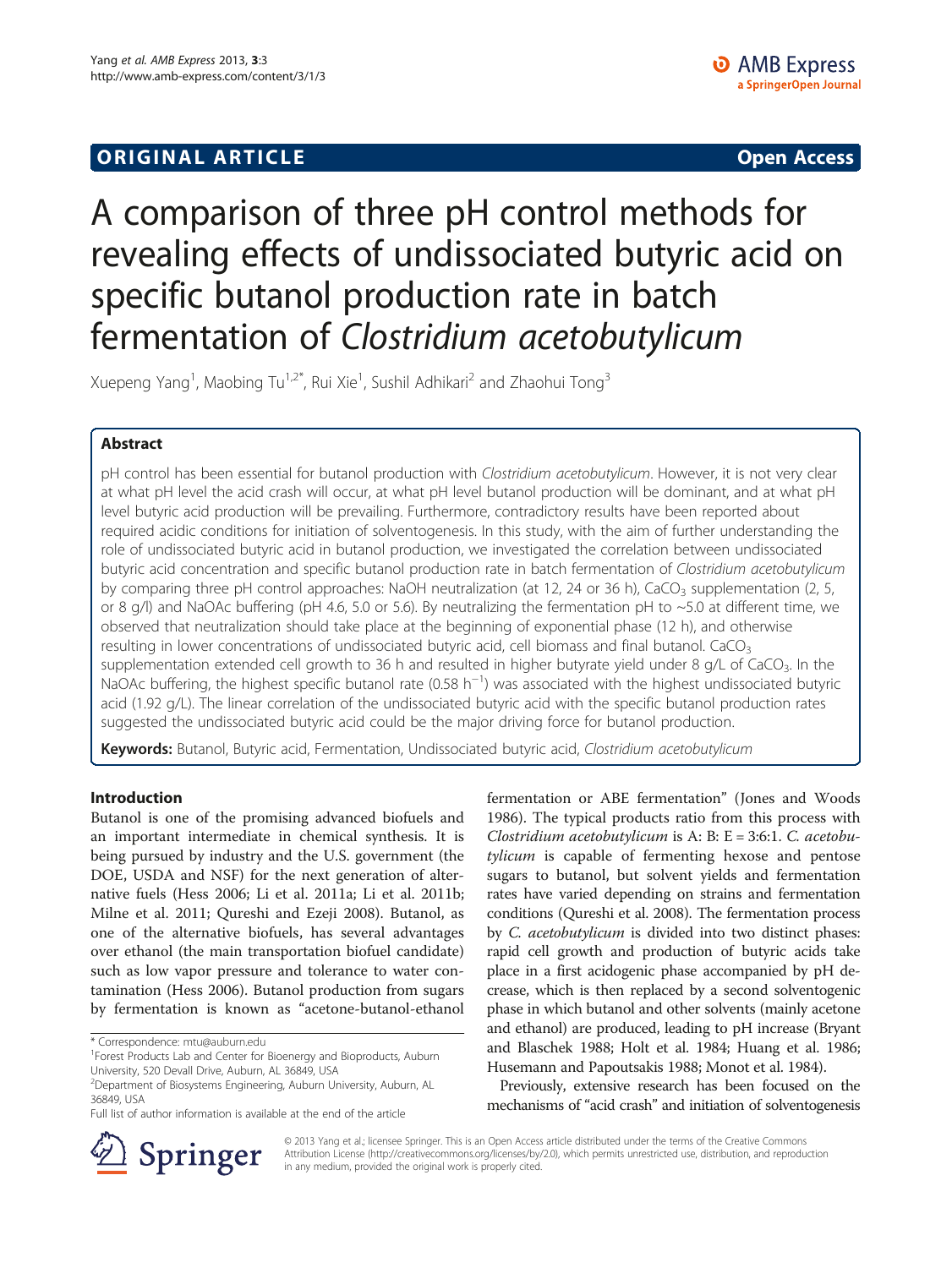# A comparison of three pH control methods for revealing effects of undissociated butyric acid on specific butanol production rate in batch fermentation of Clostridium acetobutylicum

Xuepeng Yang<sup>1</sup>, Maobing Tu<sup>1,2\*</sup>, Rui Xie<sup>1</sup>, Sushil Adhikari<sup>2</sup> and Zhaohui Tong<sup>3</sup>

# Abstract

pH control has been essential for butanol production with Clostridium acetobutylicum. However, it is not very clear at what pH level the acid crash will occur, at what pH level butanol production will be dominant, and at what pH level butyric acid production will be prevailing. Furthermore, contradictory results have been reported about required acidic conditions for initiation of solventogenesis. In this study, with the aim of further understanding the role of undissociated butyric acid in butanol production, we investigated the correlation between undissociated butyric acid concentration and specific butanol production rate in batch fermentation of Clostridium acetobutylicum by comparing three pH control approaches: NaOH neutralization (at 12, 24 or 36 h), CaCO<sub>3</sub> supplementation (2, 5, or 8 g/l) and NaOAc buffering (pH 4.6, 5.0 or 5.6). By neutralizing the fermentation pH to ~5.0 at different time, we observed that neutralization should take place at the beginning of exponential phase (12 h), and otherwise resulting in lower concentrations of undissociated butyric acid, cell biomass and final butanol. CaCO<sub>3</sub> supplementation extended cell growth to 36 h and resulted in higher butyrate yield under 8 g/L of CaCO<sub>3</sub>. In the NaOAc buffering, the highest specific butanol rate (0.58 h<sup>-1</sup>) was associated with the highest undissociated butyric acid (1.92 g/L). The linear correlation of the undissociated butyric acid with the specific butanol production rates suggested the undissociated butyric acid could be the major driving force for butanol production.

Keywords: Butanol, Butyric acid, Fermentation, Undissociated butyric acid, Clostridium acetobutylicum

# Introduction

Butanol is one of the promising advanced biofuels and an important intermediate in chemical synthesis. It is being pursued by industry and the U.S. government (the DOE, USDA and NSF) for the next generation of alternative fuels (Hess [2006](#page-7-0); Li et al. [2011a;](#page-7-0) Li et al. [2011b](#page-7-0); Milne et al. [2011](#page-7-0); Qureshi and Ezeji [2008\)](#page-7-0). Butanol, as one of the alternative biofuels, has several advantages over ethanol (the main transportation biofuel candidate) such as low vapor pressure and tolerance to water contamination (Hess [2006\)](#page-7-0). Butanol production from sugars by fermentation is known as "acetone-butanol-ethanol

fermentation or ABE fermentation" (Jones and Woods [1986](#page-7-0)). The typical products ratio from this process with Clostridium acetobutylicum is A: B: E = 3:6:1. C. acetobutylicum is capable of fermenting hexose and pentose sugars to butanol, but solvent yields and fermentation rates have varied depending on strains and fermentation conditions (Qureshi et al. [2008](#page-7-0)). The fermentation process by C. acetobutylicum is divided into two distinct phases: rapid cell growth and production of butyric acids take place in a first acidogenic phase accompanied by pH decrease, which is then replaced by a second solventogenic phase in which butanol and other solvents (mainly acetone and ethanol) are produced, leading to pH increase (Bryant and Blaschek [1988](#page-7-0); Holt et al. [1984;](#page-7-0) Huang et al. [1986](#page-7-0); Husemann and Papoutsakis [1988](#page-7-0); Monot et al. [1984](#page-7-0)).

Previously, extensive research has been focused on the mechanisms of "acid crash" and initiation of solventogenesis



© 2013 Yang et al.; licensee Springer. This is an Open Access article distributed under the terms of the Creative Commons Attribution License [\(http://creativecommons.org/licenses/by/2.0\)](http://creativecommons.org/licenses/by/2.0), which permits unrestricted use, distribution, and reproduction in any medium, provided the original work is properly cited.

<sup>\*</sup> Correspondence: [mtu@auburn.edu](mailto:mtu@auburn.edu) <sup>1</sup>

<sup>&</sup>lt;sup>1</sup> Forest Products Lab and Center for Bioenergy and Bioproducts, Auburn University, 520 Devall Drive, Auburn, AL 36849, USA

<sup>2</sup> Department of Biosystems Engineering, Auburn University, Auburn, AL 36849, USA

Full list of author information is available at the end of the article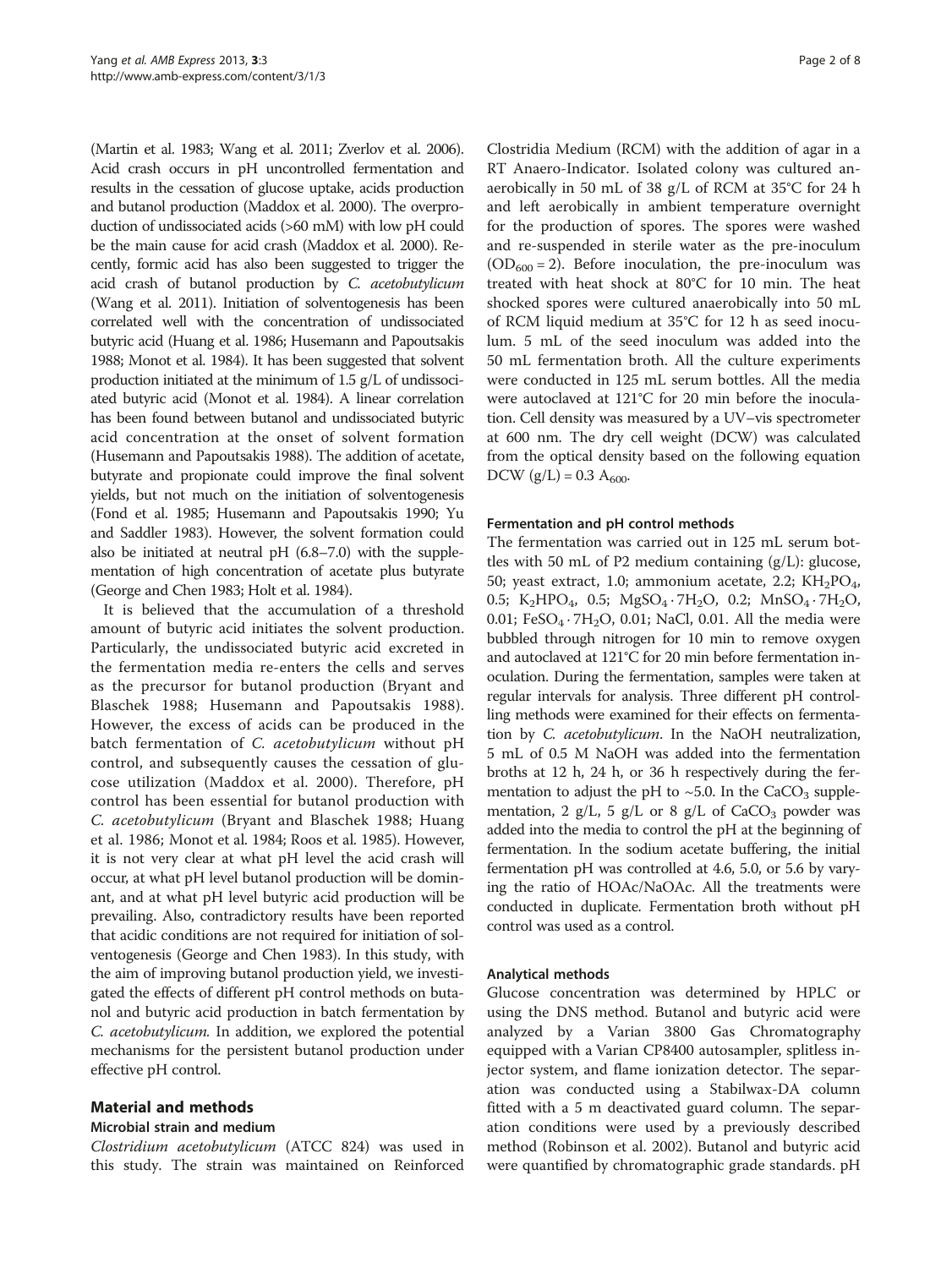(Martin et al. [1983;](#page-7-0) Wang et al. [2011;](#page-7-0) Zverlov et al. [2006](#page-7-0)). Acid crash occurs in pH uncontrolled fermentation and results in the cessation of glucose uptake, acids production and butanol production (Maddox et al. [2000\)](#page-7-0). The overproduction of undissociated acids (>60 mM) with low pH could be the main cause for acid crash (Maddox et al. [2000\)](#page-7-0). Recently, formic acid has also been suggested to trigger the acid crash of butanol production by C. acetobutylicum (Wang et al. [2011](#page-7-0)). Initiation of solventogenesis has been correlated well with the concentration of undissociated butyric acid (Huang et al. [1986](#page-7-0); Husemann and Papoutsakis [1988](#page-7-0); Monot et al. [1984](#page-7-0)). It has been suggested that solvent production initiated at the minimum of 1.5 g/L of undissociated butyric acid (Monot et al. [1984](#page-7-0)). A linear correlation has been found between butanol and undissociated butyric acid concentration at the onset of solvent formation (Husemann and Papoutsakis [1988](#page-7-0)). The addition of acetate, butyrate and propionate could improve the final solvent yields, but not much on the initiation of solventogenesis (Fond et al. [1985;](#page-7-0) Husemann and Papoutsakis [1990;](#page-7-0) Yu and Saddler [1983\)](#page-7-0). However, the solvent formation could also be initiated at neutral pH (6.8–7.0) with the supplementation of high concentration of acetate plus butyrate (George and Chen [1983;](#page-7-0) Holt et al. [1984](#page-7-0)).

It is believed that the accumulation of a threshold amount of butyric acid initiates the solvent production. Particularly, the undissociated butyric acid excreted in the fermentation media re-enters the cells and serves as the precursor for butanol production (Bryant and Blaschek [1988](#page-7-0); Husemann and Papoutsakis [1988](#page-7-0)). However, the excess of acids can be produced in the batch fermentation of C. acetobutylicum without pH control, and subsequently causes the cessation of glucose utilization (Maddox et al. [2000](#page-7-0)). Therefore, pH control has been essential for butanol production with C. acetobutylicum (Bryant and Blaschek [1988;](#page-7-0) Huang et al. [1986](#page-7-0); Monot et al. [1984](#page-7-0); Roos et al. [1985](#page-7-0)). However, it is not very clear at what pH level the acid crash will occur, at what pH level butanol production will be dominant, and at what pH level butyric acid production will be prevailing. Also, contradictory results have been reported that acidic conditions are not required for initiation of solventogenesis (George and Chen [1983](#page-7-0)). In this study, with the aim of improving butanol production yield, we investigated the effects of different pH control methods on butanol and butyric acid production in batch fermentation by C. acetobutylicum. In addition, we explored the potential mechanisms for the persistent butanol production under effective pH control.

# Material and methods

## Microbial strain and medium

Clostridium acetobutylicum (ATCC 824) was used in this study. The strain was maintained on Reinforced

Clostridia Medium (RCM) with the addition of agar in a RT Anaero-Indicator. Isolated colony was cultured anaerobically in 50 mL of 38 g/L of RCM at 35°C for 24 h and left aerobically in ambient temperature overnight for the production of spores. The spores were washed and re-suspended in sterile water as the pre-inoculum  $(OD<sub>600</sub> = 2)$ . Before inoculation, the pre-inoculum was treated with heat shock at 80°C for 10 min. The heat shocked spores were cultured anaerobically into 50 mL of RCM liquid medium at 35°C for 12 h as seed inoculum. 5 mL of the seed inoculum was added into the 50 mL fermentation broth. All the culture experiments were conducted in 125 mL serum bottles. All the media were autoclaved at 121°C for 20 min before the inoculation. Cell density was measured by a UV–vis spectrometer at 600 nm. The dry cell weight (DCW) was calculated from the optical density based on the following equation DCW  $(g/L) = 0.3 A_{600}$ .

## Fermentation and pH control methods

The fermentation was carried out in 125 mL serum bottles with 50 mL of P2 medium containing  $(g/L)$ : glucose, 50; yeast extract, 1.0; ammonium acetate, 2.2;  $KH_2PO_4$ , 0.5; K<sub>2</sub>HPO<sub>4</sub>, 0.5; MgSO<sub>4</sub> · 7H<sub>2</sub>O, 0.2; MnSO<sub>4</sub> · 7H<sub>2</sub>O, 0.01; FeSO<sub>4</sub> $\cdot$ 7H<sub>2</sub>O, 0.01; NaCl, 0.01. All the media were bubbled through nitrogen for 10 min to remove oxygen and autoclaved at 121°C for 20 min before fermentation inoculation. During the fermentation, samples were taken at regular intervals for analysis. Three different pH controlling methods were examined for their effects on fermentation by C. acetobutylicum. In the NaOH neutralization, 5 mL of 0.5 M NaOH was added into the fermentation broths at 12 h, 24 h, or 36 h respectively during the fermentation to adjust the pH to  $\sim$  5.0. In the CaCO<sub>3</sub> supplementation, 2 g/L, 5 g/L or 8 g/L of  $CaCO<sub>3</sub>$  powder was added into the media to control the pH at the beginning of fermentation. In the sodium acetate buffering, the initial fermentation pH was controlled at 4.6, 5.0, or 5.6 by varying the ratio of HOAc/NaOAc. All the treatments were conducted in duplicate. Fermentation broth without pH control was used as a control.

## Analytical methods

Glucose concentration was determined by HPLC or using the DNS method. Butanol and butyric acid were analyzed by a Varian 3800 Gas Chromatography equipped with a Varian CP8400 autosampler, splitless injector system, and flame ionization detector. The separation was conducted using a Stabilwax-DA column fitted with a 5 m deactivated guard column. The separation conditions were used by a previously described method (Robinson et al. [2002\)](#page-7-0). Butanol and butyric acid were quantified by chromatographic grade standards. pH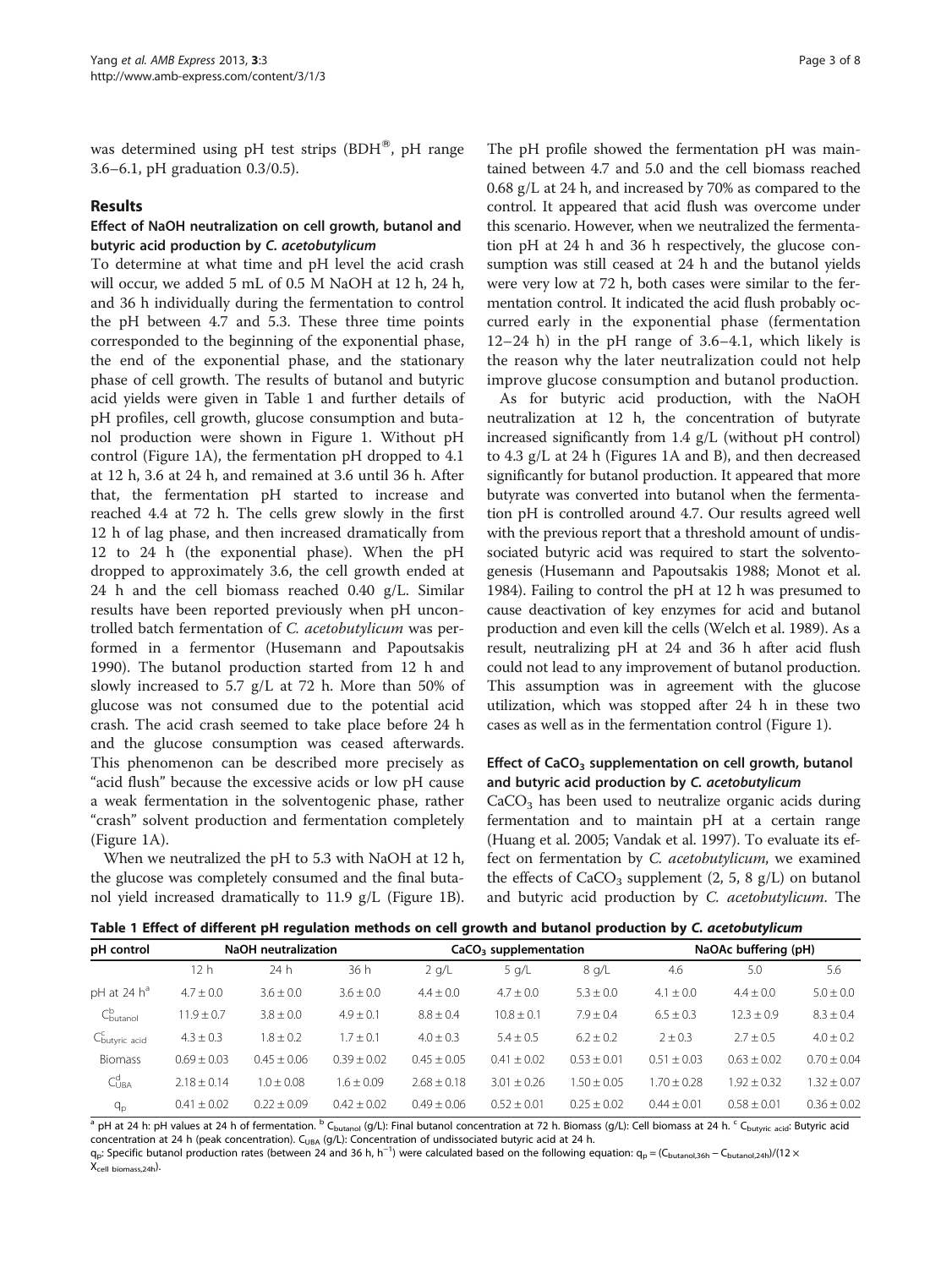<span id="page-2-0"></span>was determined using pH test strips  $(BDH^{\otimes})$ , pH range 3.6–6.1, pH graduation 0.3/0.5).

## Results

## Effect of NaOH neutralization on cell growth, butanol and butyric acid production by C. acetobutylicum

To determine at what time and pH level the acid crash will occur, we added 5 mL of 0.5 M NaOH at 12 h, 24 h, and 36 h individually during the fermentation to control the pH between 4.7 and 5.3. These three time points corresponded to the beginning of the exponential phase, the end of the exponential phase, and the stationary phase of cell growth. The results of butanol and butyric acid yields were given in Table 1 and further details of pH profiles, cell growth, glucose consumption and butanol production were shown in Figure [1.](#page-3-0) Without pH control (Figure [1](#page-3-0)A), the fermentation pH dropped to 4.1 at 12 h, 3.6 at 24 h, and remained at 3.6 until 36 h. After that, the fermentation pH started to increase and reached 4.4 at 72 h. The cells grew slowly in the first 12 h of lag phase, and then increased dramatically from 12 to 24 h (the exponential phase). When the pH dropped to approximately 3.6, the cell growth ended at 24 h and the cell biomass reached 0.40 g/L. Similar results have been reported previously when pH uncontrolled batch fermentation of C. acetobutylicum was performed in a fermentor (Husemann and Papoutsakis [1990](#page-7-0)). The butanol production started from 12 h and slowly increased to 5.7 g/L at 72 h. More than 50% of glucose was not consumed due to the potential acid crash. The acid crash seemed to take place before 24 h and the glucose consumption was ceased afterwards. This phenomenon can be described more precisely as "acid flush" because the excessive acids or low pH cause a weak fermentation in the solventogenic phase, rather "crash" solvent production and fermentation completely (Figure [1](#page-3-0)A).

When we neutralized the pH to 5.3 with NaOH at 12 h, the glucose was completely consumed and the final butanol yield increased dramatically to 11.9 g/L (Figure [1B](#page-3-0)).

The pH profile showed the fermentation pH was maintained between 4.7 and 5.0 and the cell biomass reached 0.68 g/L at 24 h, and increased by 70% as compared to the control. It appeared that acid flush was overcome under this scenario. However, when we neutralized the fermentation pH at 24 h and 36 h respectively, the glucose consumption was still ceased at 24 h and the butanol yields were very low at 72 h, both cases were similar to the fermentation control. It indicated the acid flush probably occurred early in the exponential phase (fermentation 12–24 h) in the pH range of 3.6–4.1, which likely is the reason why the later neutralization could not help improve glucose consumption and butanol production.

As for butyric acid production, with the NaOH neutralization at 12 h, the concentration of butyrate increased significantly from 1.4 g/L (without pH control) to 4.3 g/L at 24 h (Figures [1A](#page-3-0) and B), and then decreased significantly for butanol production. It appeared that more butyrate was converted into butanol when the fermentation pH is controlled around 4.7. Our results agreed well with the previous report that a threshold amount of undissociated butyric acid was required to start the solventogenesis (Husemann and Papoutsakis [1988](#page-7-0); Monot et al. [1984\)](#page-7-0). Failing to control the pH at 12 h was presumed to cause deactivation of key enzymes for acid and butanol production and even kill the cells (Welch et al. [1989](#page-7-0)). As a result, neutralizing pH at 24 and 36 h after acid flush could not lead to any improvement of butanol production. This assumption was in agreement with the glucose utilization, which was stopped after 24 h in these two cases as well as in the fermentation control (Figure [1](#page-3-0)).

# Effect of  $CaCO<sub>3</sub>$  supplementation on cell growth, butanol and butyric acid production by C. acetobutylicum

 $CaCO<sub>3</sub>$  has been used to neutralize organic acids during fermentation and to maintain pH at a certain range (Huang et al. [2005;](#page-7-0) Vandak et al. [1997\)](#page-7-0). To evaluate its effect on fermentation by C. acetobutylicum, we examined the effects of  $CaCO<sub>3</sub>$  supplement (2, 5, 8 g/L) on butanol and butyric acid production by *C. acetobutylicum*. The

|  |  |  |  | Table 1 Effect of different pH regulation methods on cell growth and butanol production by C. acetobutylicum |  |  |  |
|--|--|--|--|--------------------------------------------------------------------------------------------------------------|--|--|--|
|--|--|--|--|--------------------------------------------------------------------------------------------------------------|--|--|--|

| pH control                | <b>NaOH</b> neutralization |                |               | $CaCO3$ supplementation |                |               | NaOAc buffering (pH) |                |                 |
|---------------------------|----------------------------|----------------|---------------|-------------------------|----------------|---------------|----------------------|----------------|-----------------|
|                           | 12 h                       | 24 h           | 36 h          | 2 q/L                   | $5$ g/L        | 8 q/L         | 4.6                  | 5.0            | 5.6             |
| $pH$ at 24 $h^a$          | $4.7 \pm 0.0$              | $3.6 \pm 0.0$  | $3.6 \pm 0.0$ | $4.4 \pm 0.0$           | $4.7 \pm 0.0$  | $5.3 \pm 0.0$ | $4.1 \pm 0.0$        | $4.4 \pm 0.0$  | $5.0 \pm 0.0$   |
| $C^b_{\text{butanol}}$    | $11.9 + 0.7$               | $3.8 \pm 0.0$  | $4.9 \pm 0.1$ | $8.8 \pm 0.4$           | $10.8 \pm 0.1$ | $7.9 + 0.4$   | $6.5 \pm 0.3$        | $12.3 \pm 0.9$ | $8.3 \pm 0.4$   |
| C <sub>butyric</sub> acid | $4.3 + 0.3$                | $1.8 \pm 0.2$  | $.7 \pm 0.1$  | $4.0 + 0.3$             | $5.4 + 0.5$    | $6.2 + 0.2$   | $2 + 0.3$            | $2.7 + 0.5$    | $4.0 \pm 0.2$   |
| <b>Biomass</b>            | $0.69 + 0.03$              | $0.45 + 0.06$  | $0.39 + 0.02$ | $0.45 + 0.05$           | $0.41 + 0.02$  | $0.53 + 0.01$ | $0.51 + 0.03$        | $0.63 + 0.02$  | $0.70 + 0.04$   |
| $C^d_{UBA}$               | $2.18 \pm 0.14$            | $1.0 \pm 0.08$ | $1.6 + 0.09$  | $2.68 + 0.18$           | $3.01 + 0.26$  | $1.50 + 0.05$ | $.70 \pm 0.28$       | $.92 \pm 0.32$ | $1.32 \pm 0.07$ |
| $q_p$                     | $0.41 + 0.02$              | $0.22 + 0.09$  | $0.42 + 0.02$ | $0.49 \pm 0.06$         | $0.52 + 0.01$  | $0.25 + 0.02$ | $0.44 + 0.01$        | $0.58 + 0.01$  | $0.36 + 0.02$   |

<sup>a</sup> pH at 24 h: pH values at 24 h of fermentation. <sup>b</sup> C<sub>butanol</sub> (g/L): Final butanol concentration at 72 h. Biomass (g/L): Cell biomass at 24 h. <sup>c</sup> C<sub>butyric acid</sub>: Butyric acid concentration at 24 h (peak concentration). C<sub>UBA</sub> (g/L): Concentration of undissociated butyric acid at 24 h.

q<sub>p</sub>: Specific butanol production rates (between 24 and 36 h, h<sup>-1</sup>) were calculated based on the following equation: q<sub>p</sub> = (C<sub>butanol,36h</sub> − C<sub>butanol,24h</sub>)/(12 × Xcell biomass,24h).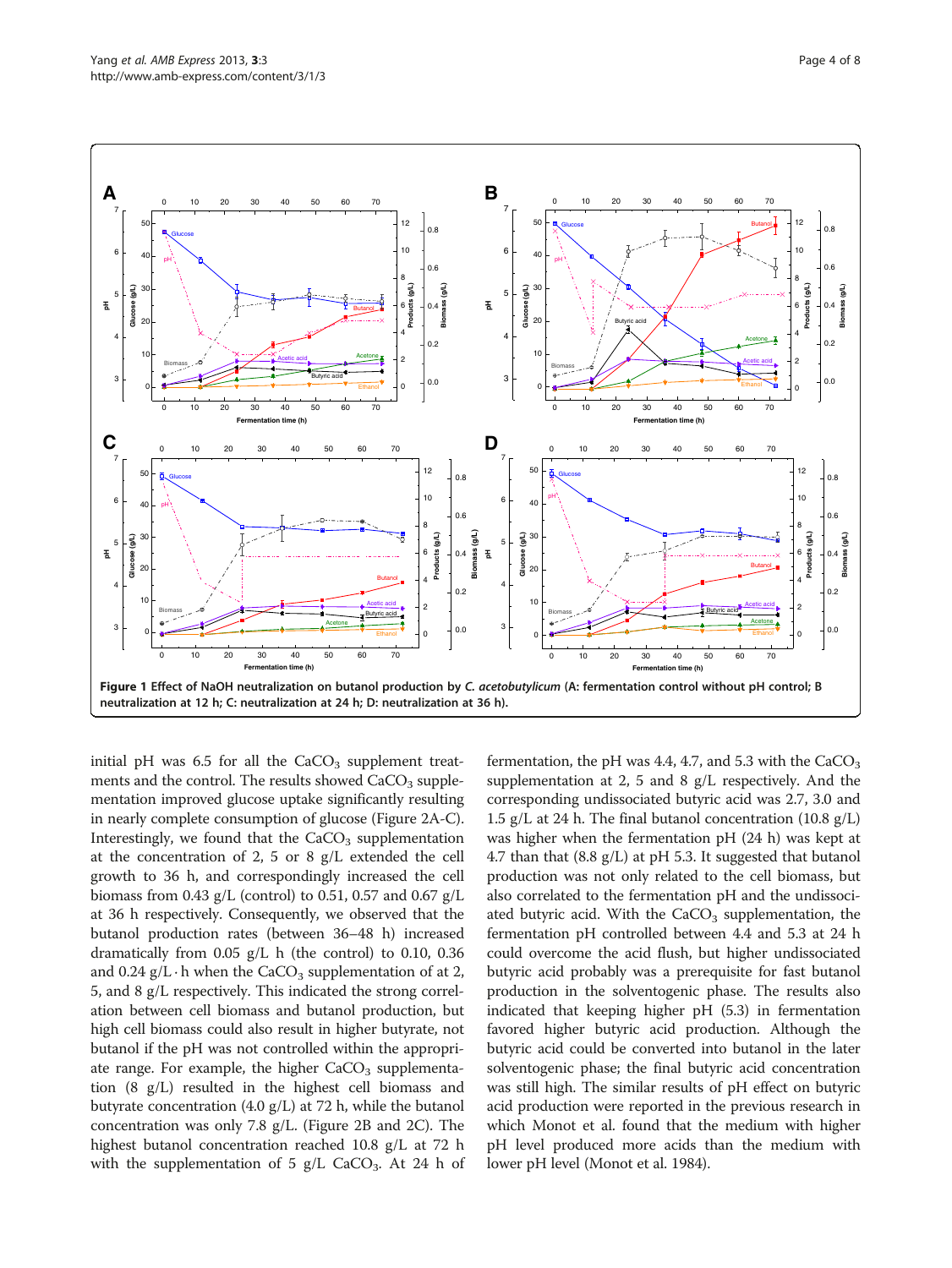<span id="page-3-0"></span>

initial pH was  $6.5$  for all the  $CaCO<sub>3</sub>$  supplement treatments and the control. The results showed  $CaCO<sub>3</sub>$  supplementation improved glucose uptake significantly resulting in nearly complete consumption of glucose (Figure [2](#page-4-0)A-C). Interestingly, we found that the  $CaCO<sub>3</sub>$  supplementation at the concentration of 2, 5 or 8 g/L extended the cell growth to 36 h, and correspondingly increased the cell biomass from 0.43 g/L (control) to 0.51, 0.57 and 0.67 g/L at 36 h respectively. Consequently, we observed that the butanol production rates (between 36–48 h) increased dramatically from 0.05 g/L h (the control) to 0.10, 0.36 and 0.24  $g/L \cdot h$  when the CaCO<sub>3</sub> supplementation of at 2, 5, and 8 g/L respectively. This indicated the strong correlation between cell biomass and butanol production, but high cell biomass could also result in higher butyrate, not butanol if the pH was not controlled within the appropriate range. For example, the higher  $CaCO<sub>3</sub>$  supplementation (8 g/L) resulted in the highest cell biomass and butyrate concentration (4.0 g/L) at 72 h, while the butanol concentration was only 7.8 g/L. (Figure [2](#page-4-0)B and [2](#page-4-0)C). The highest butanol concentration reached 10.8 g/L at 72 h with the supplementation of 5  $g/L$  CaCO<sub>3</sub>. At 24 h of

fermentation, the pH was 4.4, 4.7, and 5.3 with the  $CaCO<sub>3</sub>$ supplementation at 2, 5 and 8 g/L respectively. And the corresponding undissociated butyric acid was 2.7, 3.0 and 1.5 g/L at 24 h. The final butanol concentration (10.8 g/L) was higher when the fermentation pH (24 h) was kept at 4.7 than that  $(8.8 \text{ g/L})$  at pH 5.3. It suggested that butanol production was not only related to the cell biomass, but also correlated to the fermentation pH and the undissociated butyric acid. With the  $CaCO<sub>3</sub>$  supplementation, the fermentation pH controlled between 4.4 and 5.3 at 24 h could overcome the acid flush, but higher undissociated butyric acid probably was a prerequisite for fast butanol production in the solventogenic phase. The results also indicated that keeping higher pH (5.3) in fermentation favored higher butyric acid production. Although the butyric acid could be converted into butanol in the later solventogenic phase; the final butyric acid concentration was still high. The similar results of pH effect on butyric acid production were reported in the previous research in which Monot et al. found that the medium with higher pH level produced more acids than the medium with lower pH level (Monot et al. [1984](#page-7-0)).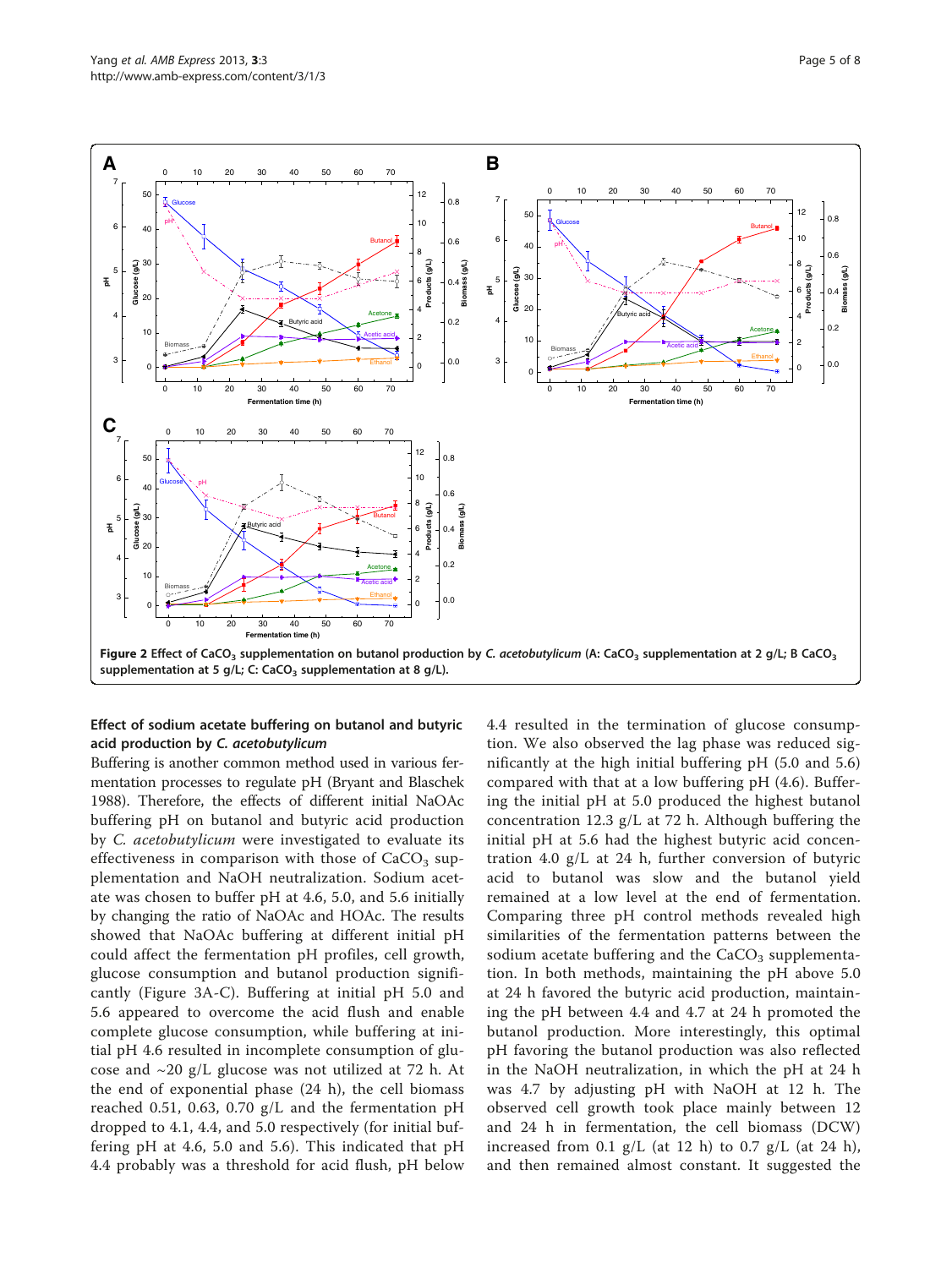<span id="page-4-0"></span>

## Effect of sodium acetate buffering on butanol and butyric acid production by C. acetobutylicum

Buffering is another common method used in various fermentation processes to regulate pH (Bryant and Blaschek [1988\)](#page-7-0). Therefore, the effects of different initial NaOAc buffering pH on butanol and butyric acid production by C. acetobutylicum were investigated to evaluate its effectiveness in comparison with those of  $CaCO<sub>3</sub>$  supplementation and NaOH neutralization. Sodium acetate was chosen to buffer pH at 4.6, 5.0, and 5.6 initially by changing the ratio of NaOAc and HOAc. The results showed that NaOAc buffering at different initial pH could affect the fermentation pH profiles, cell growth, glucose consumption and butanol production significantly (Figure [3A](#page-5-0)-C). Buffering at initial pH 5.0 and 5.6 appeared to overcome the acid flush and enable complete glucose consumption, while buffering at initial pH 4.6 resulted in incomplete consumption of glucose and  $\sim$ 20 g/L glucose was not utilized at 72 h. At the end of exponential phase (24 h), the cell biomass reached 0.51, 0.63, 0.70 g/L and the fermentation pH dropped to 4.1, 4.4, and 5.0 respectively (for initial buffering pH at 4.6, 5.0 and 5.6). This indicated that pH 4.4 probably was a threshold for acid flush, pH below

4.4 resulted in the termination of glucose consumption. We also observed the lag phase was reduced significantly at the high initial buffering pH (5.0 and 5.6) compared with that at a low buffering pH (4.6). Buffering the initial pH at 5.0 produced the highest butanol concentration 12.3 g/L at 72 h. Although buffering the initial pH at 5.6 had the highest butyric acid concentration 4.0 g/L at 24 h, further conversion of butyric acid to butanol was slow and the butanol yield remained at a low level at the end of fermentation. Comparing three pH control methods revealed high similarities of the fermentation patterns between the sodium acetate buffering and the  $CaCO<sub>3</sub>$  supplementation. In both methods, maintaining the pH above 5.0 at 24 h favored the butyric acid production, maintaining the pH between 4.4 and 4.7 at 24 h promoted the butanol production. More interestingly, this optimal pH favoring the butanol production was also reflected in the NaOH neutralization, in which the pH at 24 h was 4.7 by adjusting pH with NaOH at 12 h. The observed cell growth took place mainly between 12 and 24 h in fermentation, the cell biomass (DCW) increased from 0.1 g/L (at 12 h) to 0.7 g/L (at 24 h), and then remained almost constant. It suggested the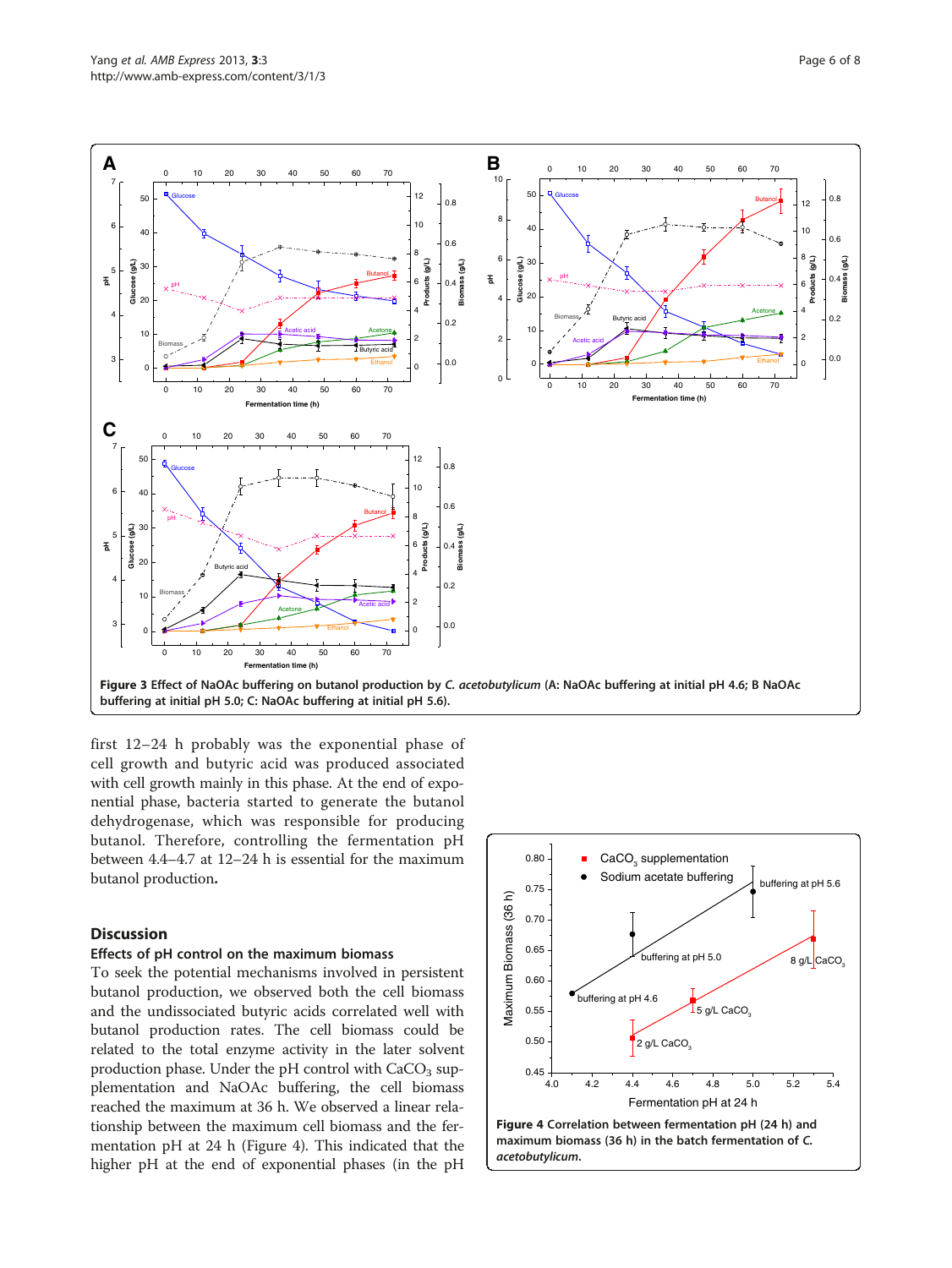<span id="page-5-0"></span>

first 12–24 h probably was the exponential phase of cell growth and butyric acid was produced associated with cell growth mainly in this phase. At the end of exponential phase, bacteria started to generate the butanol dehydrogenase, which was responsible for producing butanol. Therefore, controlling the fermentation pH between 4.4–4.7 at 12–24 h is essential for the maximum butanol production.

# **Discussion**

# Effects of pH control on the maximum biomass

To seek the potential mechanisms involved in persistent butanol production, we observed both the cell biomass and the undissociated butyric acids correlated well with butanol production rates. The cell biomass could be related to the total enzyme activity in the later solvent production phase. Under the pH control with  $CaCO<sub>3</sub>$  supplementation and NaOAc buffering, the cell biomass reached the maximum at 36 h. We observed a linear relationship between the maximum cell biomass and the fermentation pH at 24 h (Figure 4). This indicated that the higher pH at the end of exponential phases (in the pH

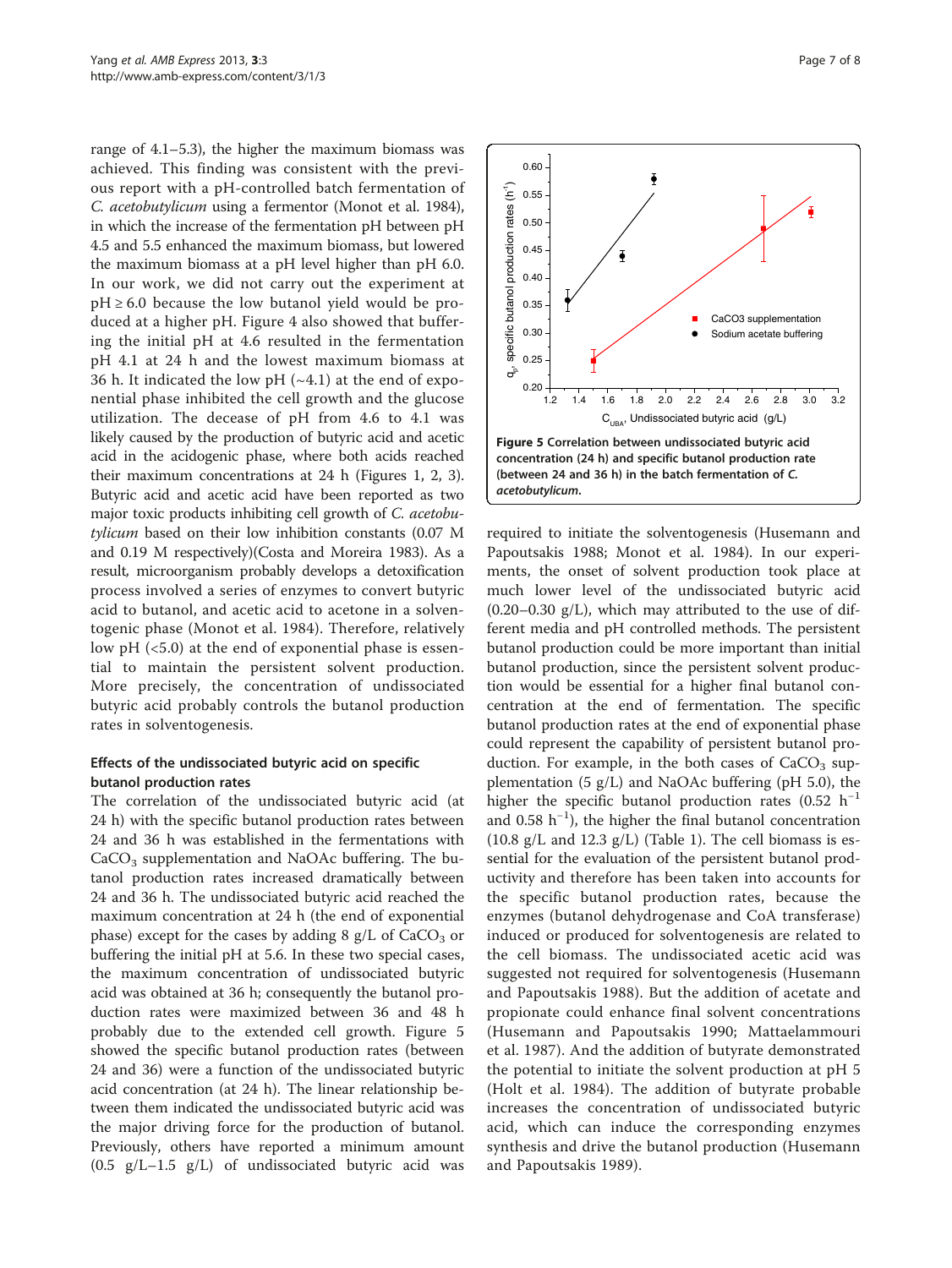range of 4.1–5.3), the higher the maximum biomass was achieved. This finding was consistent with the previous report with a pH-controlled batch fermentation of C. acetobutylicum using a fermentor (Monot et al. [1984](#page-7-0)), in which the increase of the fermentation pH between pH 4.5 and 5.5 enhanced the maximum biomass, but lowered the maximum biomass at a pH level higher than pH 6.0. In our work, we did not carry out the experiment at  $pH \geq 6.0$  because the low butanol yield would be produced at a higher pH. Figure [4](#page-5-0) also showed that buffering the initial pH at 4.6 resulted in the fermentation pH 4.1 at 24 h and the lowest maximum biomass at 36 h. It indicated the low pH  $(-4.1)$  at the end of exponential phase inhibited the cell growth and the glucose utilization. The decease of pH from 4.6 to 4.1 was likely caused by the production of butyric acid and acetic acid in the acidogenic phase, where both acids reached their maximum concentrations at 24 h (Figures [1](#page-3-0), [2](#page-4-0), [3](#page-5-0)). Butyric acid and acetic acid have been reported as two major toxic products inhibiting cell growth of C. acetobutylicum based on their low inhibition constants (0.07 M and 0.19 M respectively)(Costa and Moreira [1983](#page-7-0)). As a result, microorganism probably develops a detoxification process involved a series of enzymes to convert butyric acid to butanol, and acetic acid to acetone in a solventogenic phase (Monot et al. [1984\)](#page-7-0). Therefore, relatively low pH (<5.0) at the end of exponential phase is essential to maintain the persistent solvent production. More precisely, the concentration of undissociated butyric acid probably controls the butanol production rates in solventogenesis.

# Effects of the undissociated butyric acid on specific butanol production rates

The correlation of the undissociated butyric acid (at 24 h) with the specific butanol production rates between 24 and 36 h was established in the fermentations with  $CaCO<sub>3</sub>$  supplementation and NaOAc buffering. The butanol production rates increased dramatically between 24 and 36 h. The undissociated butyric acid reached the maximum concentration at 24 h (the end of exponential phase) except for the cases by adding 8  $g/L$  of CaCO<sub>3</sub> or buffering the initial pH at 5.6. In these two special cases, the maximum concentration of undissociated butyric acid was obtained at 36 h; consequently the butanol production rates were maximized between 36 and 48 h probably due to the extended cell growth. Figure 5 showed the specific butanol production rates (between 24 and 36) were a function of the undissociated butyric acid concentration (at 24 h). The linear relationship between them indicated the undissociated butyric acid was the major driving force for the production of butanol. Previously, others have reported a minimum amount (0.5 g/L–1.5 g/L) of undissociated butyric acid was



required to initiate the solventogenesis (Husemann and Papoutsakis [1988;](#page-7-0) Monot et al. [1984\)](#page-7-0). In our experiments, the onset of solvent production took place at much lower level of the undissociated butyric acid  $(0.20-0.30 \text{ g/L})$ , which may attributed to the use of different media and pH controlled methods. The persistent butanol production could be more important than initial butanol production, since the persistent solvent production would be essential for a higher final butanol concentration at the end of fermentation. The specific butanol production rates at the end of exponential phase could represent the capability of persistent butanol production. For example, in the both cases of  $CaCO<sub>3</sub>$  supplementation  $(5 \text{ g/L})$  and NaOAc buffering (pH 5.0), the higher the specific butanol production rates (0.52 h<sup>-1</sup> and 0.58 h−<sup>1</sup> ), the higher the final butanol concentration  $(10.8 \text{ g/L}$  and  $12.3 \text{ g/L})$  (Table [1](#page-2-0)). The cell biomass is essential for the evaluation of the persistent butanol productivity and therefore has been taken into accounts for the specific butanol production rates, because the enzymes (butanol dehydrogenase and CoA transferase) induced or produced for solventogenesis are related to the cell biomass. The undissociated acetic acid was suggested not required for solventogenesis (Husemann and Papoutsakis [1988](#page-7-0)). But the addition of acetate and propionate could enhance final solvent concentrations (Husemann and Papoutsakis [1990](#page-7-0); Mattaelammouri et al. [1987](#page-7-0)). And the addition of butyrate demonstrated the potential to initiate the solvent production at pH 5 (Holt et al. [1984](#page-7-0)). The addition of butyrate probable increases the concentration of undissociated butyric acid, which can induce the corresponding enzymes synthesis and drive the butanol production (Husemann and Papoutsakis [1989](#page-7-0)).